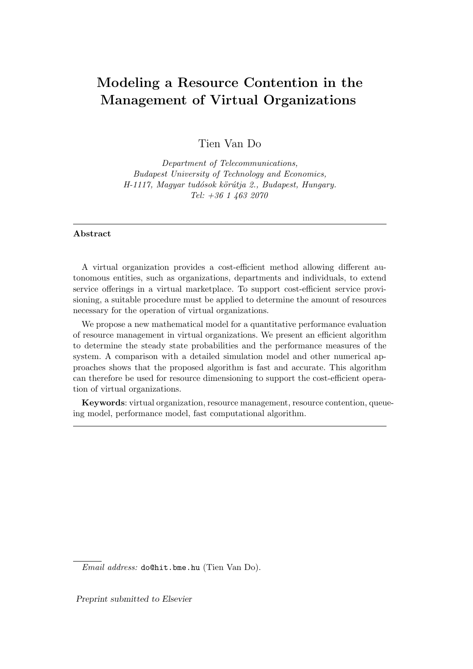# Modeling a Resource Contention in the Management of Virtual Organizations

Tien Van Do

Department of Telecommunications, Budapest University of Technology and Economics, H-1117, Magyar tudósok körútja 2., Budapest, Hungary. Tel: +36 1 463 2070

#### Abstract

A virtual organization provides a cost-efficient method allowing different autonomous entities, such as organizations, departments and individuals, to extend service offerings in a virtual marketplace. To support cost-efficient service provisioning, a suitable procedure must be applied to determine the amount of resources necessary for the operation of virtual organizations.

We propose a new mathematical model for a quantitative performance evaluation of resource management in virtual organizations. We present an efficient algorithm to determine the steady state probabilities and the performance measures of the system. A comparison with a detailed simulation model and other numerical approaches shows that the proposed algorithm is fast and accurate. This algorithm can therefore be used for resource dimensioning to support the cost-efficient operation of virtual organizations.

Keywords: virtual organization, resource management, resource contention, queueing model, performance model, fast computational algorithm.

Email address: do@hit.bme.hu (Tien Van Do).

Preprint submitted to Elsevier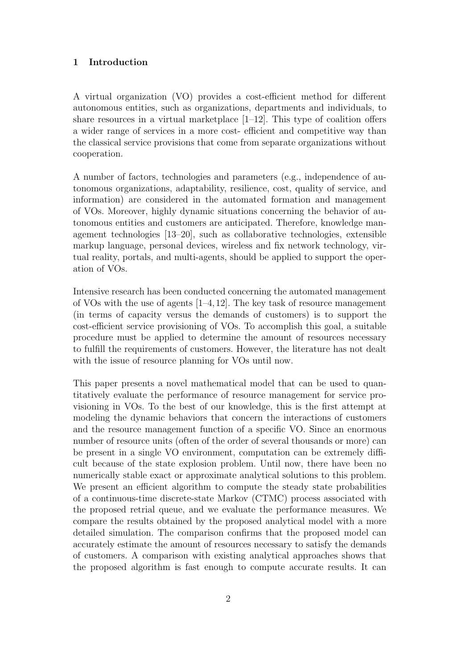## 1 Introduction

A virtual organization (VO) provides a cost-efficient method for different autonomous entities, such as organizations, departments and individuals, to share resources in a virtual marketplace  $[1-12]$ . This type of coalition offers a wider range of services in a more cost- efficient and competitive way than the classical service provisions that come from separate organizations without cooperation.

A number of factors, technologies and parameters (e.g., independence of autonomous organizations, adaptability, resilience, cost, quality of service, and information) are considered in the automated formation and management of VOs. Moreover, highly dynamic situations concerning the behavior of autonomous entities and customers are anticipated. Therefore, knowledge management technologies [13–20], such as collaborative technologies, extensible markup language, personal devices, wireless and fix network technology, virtual reality, portals, and multi-agents, should be applied to support the operation of VOs.

Intensive research has been conducted concerning the automated management of VOs with the use of agents  $[1-4, 12]$ . The key task of resource management (in terms of capacity versus the demands of customers) is to support the cost-efficient service provisioning of VOs. To accomplish this goal, a suitable procedure must be applied to determine the amount of resources necessary to fulfill the requirements of customers. However, the literature has not dealt with the issue of resource planning for VOs until now.

This paper presents a novel mathematical model that can be used to quantitatively evaluate the performance of resource management for service provisioning in VOs. To the best of our knowledge, this is the first attempt at modeling the dynamic behaviors that concern the interactions of customers and the resource management function of a specific VO. Since an enormous number of resource units (often of the order of several thousands or more) can be present in a single VO environment, computation can be extremely difficult because of the state explosion problem. Until now, there have been no numerically stable exact or approximate analytical solutions to this problem. We present an efficient algorithm to compute the steady state probabilities of a continuous-time discrete-state Markov (CTMC) process associated with the proposed retrial queue, and we evaluate the performance measures. We compare the results obtained by the proposed analytical model with a more detailed simulation. The comparison confirms that the proposed model can accurately estimate the amount of resources necessary to satisfy the demands of customers. A comparison with existing analytical approaches shows that the proposed algorithm is fast enough to compute accurate results. It can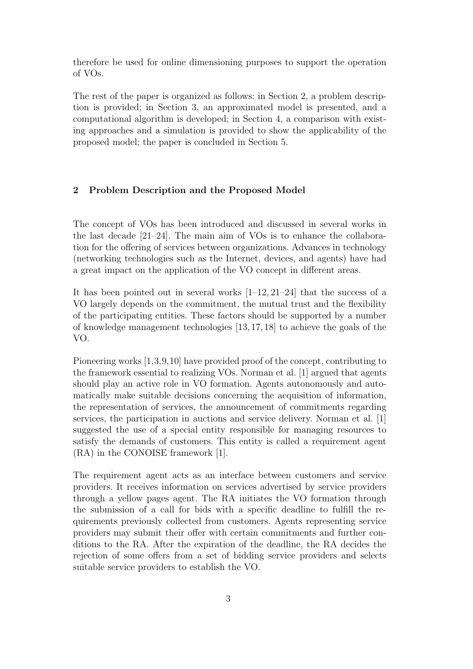therefore be used for online dimensioning purposes to support the operation of VOs.

The rest of the paper is organized as follows: in Section 2, a problem description is provided; in Section 3, an approximated model is presented, and a computational algorithm is developed; in Section 4, a comparison with existing approaches and a simulation is provided to show the applicability of the proposed model; the paper is concluded in Section 5.

# 2 Problem Description and the Proposed Model

The concept of VOs has been introduced and discussed in several works in the last decade  $[21-24]$ . The main aim of VOs is to enhance the collaboration for the offering of services between organizations. Advances in technology (networking technologies such as the Internet, devices, and agents) have had a great impact on the application of the VO concept in different areas.

It has been pointed out in several works  $[1-12, 21-24]$  that the success of a VO largely depends on the commitment, the mutual trust and the flexibility of the participating entities. These factors should be supported by a number of knowledge management technologies [13, 17, 18] to achieve the goals of the VO.

Pioneering works [1,3,9,10] have provided proof of the concept, contributing to the framework essential to realizing VOs. Norman et al. [1] argued that agents should play an active role in VO formation. Agents autonomously and automatically make suitable decisions concerning the acquisition of information, the representation of services, the announcement of commitments regarding services, the participation in auctions and service delivery. Norman et al. [1] suggested the use of a special entity responsible for managing resources to satisfy the demands of customers. This entity is called a requirement agent (RA) in the CONOISE framework [1].

The requirement agent acts as an interface between customers and service providers. It receives information on services advertised by service providers through a yellow pages agent. The RA initiates the VO formation through the submission of a call for bids with a specific deadline to fulfill the requirements previously collected from customers. Agents representing service providers may submit their offer with certain commitments and further conditions to the RA. After the expiration of the deadline, the RA decides the rejection of some offers from a set of bidding service providers and selects suitable service providers to establish the VO.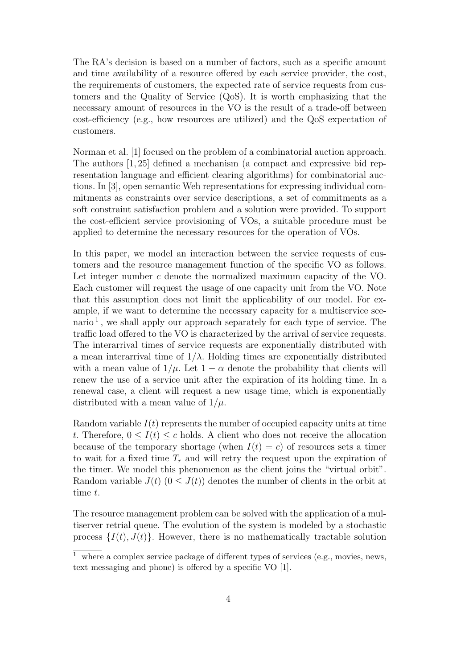The RA's decision is based on a number of factors, such as a specific amount and time availability of a resource offered by each service provider, the cost, the requirements of customers, the expected rate of service requests from customers and the Quality of Service (QoS). It is worth emphasizing that the necessary amount of resources in the VO is the result of a trade-off between cost-efficiency (e.g., how resources are utilized) and the QoS expectation of customers.

Norman et al. [1] focused on the problem of a combinatorial auction approach. The authors [1, 25] defined a mechanism (a compact and expressive bid representation language and efficient clearing algorithms) for combinatorial auctions. In [3], open semantic Web representations for expressing individual commitments as constraints over service descriptions, a set of commitments as a soft constraint satisfaction problem and a solution were provided. To support the cost-efficient service provisioning of VOs, a suitable procedure must be applied to determine the necessary resources for the operation of VOs.

In this paper, we model an interaction between the service requests of customers and the resource management function of the specific VO as follows. Let integer number c denote the normalized maximum capacity of the VO. Each customer will request the usage of one capacity unit from the VO. Note that this assumption does not limit the applicability of our model. For example, if we want to determine the necessary capacity for a multiservice scenario<sup>1</sup>, we shall apply our approach separately for each type of service. The traffic load offered to the VO is characterized by the arrival of service requests. The interarrival times of service requests are exponentially distributed with a mean interarrival time of  $1/\lambda$ . Holding times are exponentially distributed with a mean value of  $1/\mu$ . Let  $1 - \alpha$  denote the probability that clients will renew the use of a service unit after the expiration of its holding time. In a renewal case, a client will request a new usage time, which is exponentially distributed with a mean value of  $1/\mu$ .

Random variable  $I(t)$  represents the number of occupied capacity units at time t. Therefore,  $0 \leq I(t) \leq c$  holds. A client who does not receive the allocation because of the temporary shortage (when  $I(t) = c$ ) of resources sets a timer to wait for a fixed time  $T_r$  and will retry the request upon the expiration of the timer. We model this phenomenon as the client joins the "virtual orbit". Random variable  $J(t)$   $(0 \leq J(t))$  denotes the number of clients in the orbit at time t.

The resource management problem can be solved with the application of a multiserver retrial queue. The evolution of the system is modeled by a stochastic process  $\{I(t), J(t)\}\$ . However, there is no mathematically tractable solution

<sup>&</sup>lt;sup>1</sup> where a complex service package of different types of services (e.g., movies, news, text messaging and phone) is offered by a specific VO [1].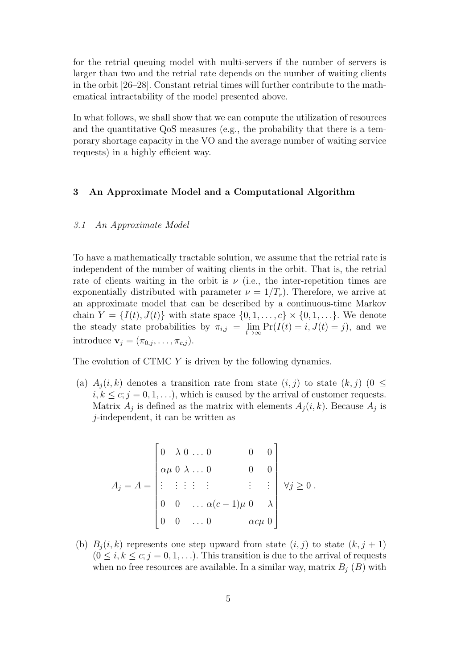for the retrial queuing model with multi-servers if the number of servers is larger than two and the retrial rate depends on the number of waiting clients in the orbit [26–28]. Constant retrial times will further contribute to the mathematical intractability of the model presented above.

In what follows, we shall show that we can compute the utilization of resources and the quantitative QoS measures (e.g., the probability that there is a temporary shortage capacity in the VO and the average number of waiting service requests) in a highly efficient way.

# 3 An Approximate Model and a Computational Algorithm

## 3.1 An Approximate Model

To have a mathematically tractable solution, we assume that the retrial rate is independent of the number of waiting clients in the orbit. That is, the retrial rate of clients waiting in the orbit is  $\nu$  (i.e., the inter-repetition times are exponentially distributed with parameter  $\nu = 1/T_r$ ). Therefore, we arrive at an approximate model that can be described by a continuous-time Markov chain  $Y = \{I(t), J(t)\}\$  with state space  $\{0, 1, ..., c\} \times \{0, 1, ...\}$ . We denote the steady state probabilities by  $\pi_{i,j} = \lim_{t \to \infty} \Pr(I(t) = i, J(t) = j)$ , and we introduce  $\mathbf{v}_j = (\pi_{0,j}, \ldots, \pi_{c,j}).$ 

The evolution of CTMC Y is driven by the following dynamics.

(a)  $A_i(i, k)$  denotes a transition rate from state  $(i, j)$  to state  $(k, j)$   $(0 \leq$  $i, k \leq c; j = 0, 1, \ldots$ , which is caused by the arrival of customer requests. Matrix  $A_j$  is defined as the matrix with elements  $A_j(i,k)$ . Because  $A_j$  is j-independent, it can be written as

$$
A_j = A = \begin{bmatrix} 0 & \lambda & 0 & \dots & 0 & 0 & 0 \\ \alpha \mu & 0 & \lambda & \dots & 0 & 0 & 0 \\ \vdots & \vdots & \vdots & \vdots & & \vdots & \vdots \\ 0 & 0 & \dots & \alpha(c-1)\mu & 0 & \lambda \\ 0 & 0 & \dots & 0 & \alpha c \mu & 0 \end{bmatrix} \forall j \ge 0.
$$

(b)  $B_i(i, k)$  represents one step upward from state  $(i, j)$  to state  $(k, j + 1)$  $(0 \leq i, k \leq c; j = 0, 1, \ldots)$ . This transition is due to the arrival of requests when no free resources are available. In a similar way, matrix  $B_j(B)$  with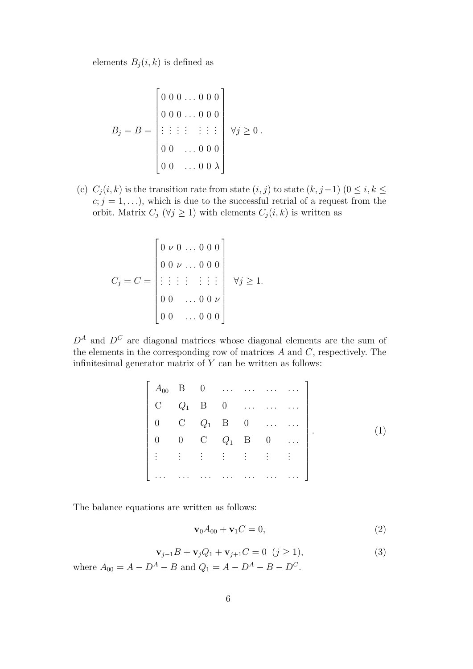elements  $B_j(i, k)$  is defined as

$$
B_j = B = \begin{bmatrix} 0 & 0 & 0 & \dots & 0 & 0 & 0 \\ 0 & 0 & 0 & \dots & 0 & 0 & 0 \\ \vdots & \vdots & \vdots & \vdots & \vdots & \vdots & \vdots \\ 0 & 0 & \dots & 0 & 0 & 0 \\ 0 & 0 & \dots & 0 & 0 & \lambda \end{bmatrix} \quad \forall j \ge 0.
$$

(c)  $C_j(i, k)$  is the transition rate from state  $(i, j)$  to state  $(k, j-1)$   $(0 \le i, k \le j)$  $c; j = 1, \ldots$ , which is due to the successful retrial of a request from the orbit. Matrix  $C_j$  ( $\forall j \geq 1$ ) with elements  $C_j(i, k)$  is written as

$$
C_j = C = \begin{bmatrix} 0 & \nu & 0 & \dots & 0 & 0 & 0 \\ 0 & 0 & \nu & \dots & 0 & 0 & 0 \\ \vdots & \vdots & \vdots & \vdots & \vdots & \vdots & \vdots \\ 0 & 0 & \dots & 0 & 0 & \nu \\ 0 & 0 & \dots & 0 & 0 & 0 \end{bmatrix} \quad \forall j \ge 1.
$$

 $D^A$  and  $D^C$  are diagonal matrices whose diagonal elements are the sum of the elements in the corresponding row of matrices  $A$  and  $C$ , respectively. The infinitesimal generator matrix of  $Y$  can be written as follows:

| $\left[ \begin{array}{ccccccccc} A_{00} & B & 0 & \dots & \dots & \dots & \dots \\ C & Q_1 & B & 0 & \dots & \dots & \dots \end{array} \right]$  |  |  |                                        |
|--------------------------------------------------------------------------------------------------------------------------------------------------|--|--|----------------------------------------|
| $\begin{bmatrix} 0 & C & Q_1 & B & 0 & \dots & \dots \end{bmatrix}$                                                                              |  |  |                                        |
|                                                                                                                                                  |  |  |                                        |
| $\left \begin{array}{cccccc} 0 & 0 & C & Q_1 & B & 0 & \dots \\ \vdots & \vdots & \vdots & \vdots & \vdots & \vdots & \vdots \end{array}\right $ |  |  |                                        |
|                                                                                                                                                  |  |  | المتحدث المتحدث المتحدث المتحدث المتحد |

The balance equations are written as follows:

$$
\mathbf{v}_0 A_{00} + \mathbf{v}_1 C = 0,\tag{2}
$$

$$
\mathbf{v}_{j-1}B + \mathbf{v}_jQ_1 + \mathbf{v}_{j+1}C = 0 \ (j \ge 1), \tag{3}
$$

where  $A_{00} = A - D^A - B$  and  $Q_1 = A - D^A - B - D^C$ .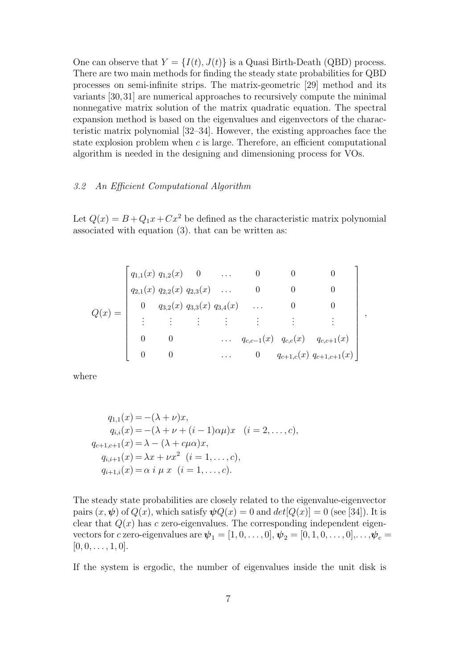One can observe that  $Y = \{I(t), J(t)\}\$ is a Quasi Birth-Death (QBD) process. There are two main methods for finding the steady state probabilities for QBD processes on semi-infinite strips. The matrix-geometric [29] method and its variants [30,31] are numerical approaches to recursively compute the minimal nonnegative matrix solution of the matrix quadratic equation. The spectral expansion method is based on the eigenvalues and eigenvectors of the characteristic matrix polynomial [32–34]. However, the existing approaches face the state explosion problem when  $c$  is large. Therefore, an efficient computational algorithm is needed in the designing and dimensioning process for VOs.

# 3.2 An Efficient Computational Algorithm

Let  $Q(x) = B + Q_1x + Cx^2$  be defined as the characteristic matrix polynomial associated with equation (3). that can be written as:

$$
Q(x) = \begin{bmatrix} q_{1,1}(x) & q_{1,2}(x) & 0 & \dots & 0 & 0 & 0 \\ q_{2,1}(x) & q_{2,2}(x) & q_{2,3}(x) & \dots & 0 & 0 & 0 \\ 0 & q_{3,2}(x) & q_{3,3}(x) & q_{3,4}(x) & \dots & 0 & 0 \\ \vdots & \vdots & \vdots & \vdots & \vdots & \vdots & \vdots \\ 0 & 0 & \dots & q_{c,c-1}(x) & q_{c,c}(x) & q_{c,c+1}(x) \\ 0 & 0 & \dots & 0 & q_{c+1,c}(x) & q_{c+1,c+1}(x) \end{bmatrix}
$$

,

where

$$
q_{1,1}(x) = -(\lambda + \nu)x,
$$
  
\n
$$
q_{i,i}(x) = -(\lambda + \nu + (i - 1)\alpha\mu)x \quad (i = 2, ..., c),
$$
  
\n
$$
q_{c+1,c+1}(x) = \lambda - (\lambda + c\mu\alpha)x,
$$
  
\n
$$
q_{i,i+1}(x) = \lambda x + \nu x^2 \quad (i = 1, ..., c),
$$
  
\n
$$
q_{i+1,i}(x) = \alpha i \mu x \quad (i = 1, ..., c).
$$

The steady state probabilities are closely related to the eigenvalue-eigenvector pairs  $(x, \psi)$  of  $Q(x)$ , which satisfy  $\psi Q(x) = 0$  and  $det[Q(x)] = 0$  (see [34]). It is clear that  $Q(x)$  has c zero-eigenvalues. The corresponding independent eigenvectors for c zero-eigenvalues are  $\psi_1 = [1, 0, \ldots, 0], \psi_2 = [0, 1, 0, \ldots, 0], \ldots, \psi_c =$  $[0, 0, \ldots, 1, 0].$ 

If the system is ergodic, the number of eigenvalues inside the unit disk is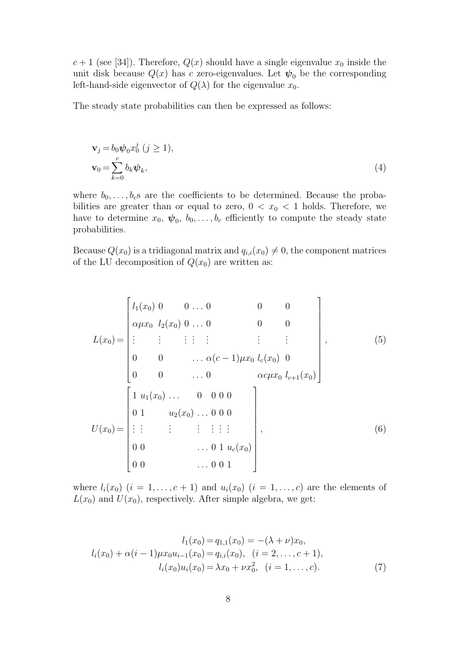$c+1$  (see [34]). Therefore,  $Q(x)$  should have a single eigenvalue  $x_0$  inside the unit disk because  $Q(x)$  has c zero-eigenvalues. Let  $\psi_0$  be the corresponding left-hand-side eigenvector of  $Q(\lambda)$  for the eigenvalue  $x_0$ .

The steady state probabilities can then be expressed as follows:

$$
\mathbf{v}_j = b_0 \boldsymbol{\psi}_0 x_0^j \ (j \ge 1),
$$
  

$$
\mathbf{v}_0 = \sum_{k=0}^c b_k \boldsymbol{\psi}_k,
$$
 (4)

where  $b_0, \ldots, b_c$  are the coefficients to be determined. Because the probabilities are greater than or equal to zero,  $0 < x_0 < 1$  holds. Therefore, we have to determine  $x_0, \psi_0, b_0, \ldots, b_c$  efficiently to compute the steady state probabilities.

Because  $Q(x_0)$  is a tridiagonal matrix and  $q_{i,i}(x_0) \neq 0$ , the component matrices of the LU decomposition of  $Q(x_0)$  are written as:

$$
L(x_0) = \begin{bmatrix} l_1(x_0) & 0 & 0 & \dots & 0 & 0 & 0 \\ \alpha \mu x_0 & l_2(x_0) & 0 & \dots & 0 & 0 & 0 \\ \vdots & \vdots & \vdots & \vdots & \vdots & \vdots & \vdots \\ 0 & 0 & \dots & \alpha(c-1)\mu x_0 & l_c(x_0) & 0 \\ 0 & 0 & \dots & 0 & \alpha c \mu x_0 & l_{c+1}(x_0) \end{bmatrix},
$$
(5)  

$$
U(x_0) = \begin{bmatrix} 1 & u_1(x_0) & \dots & 0 & 0 & 0 \\ 0 & 1 & u_2(x_0) & \dots & 0 & 0 & 0 \\ \vdots & \vdots & \vdots & \vdots & \vdots & \vdots \\ 0 & 0 & \dots & 0 & 1 & u_c(x_0) \\ 0 & 0 & \dots & 0 & 0 & 1 \end{bmatrix},
$$
(6)

where  $l_i(x_0)$   $(i = 1, \ldots, c + 1)$  and  $u_i(x_0)$   $(i = 1, \ldots, c)$  are the elements of  $L(x_0)$  and  $U(x_0)$ , respectively. After simple algebra, we get:

$$
l_1(x_0) = q_{1,1}(x_0) = -(\lambda + \nu)x_0,
$$
  
\n
$$
l_i(x_0) + \alpha(i-1)\mu x_0 u_{i-1}(x_0) = q_{i,i}(x_0), \quad (i = 2, \dots, c+1),
$$
  
\n
$$
l_i(x_0)u_i(x_0) = \lambda x_0 + \nu x_0^2, \quad (i = 1, \dots, c).
$$
\n(7)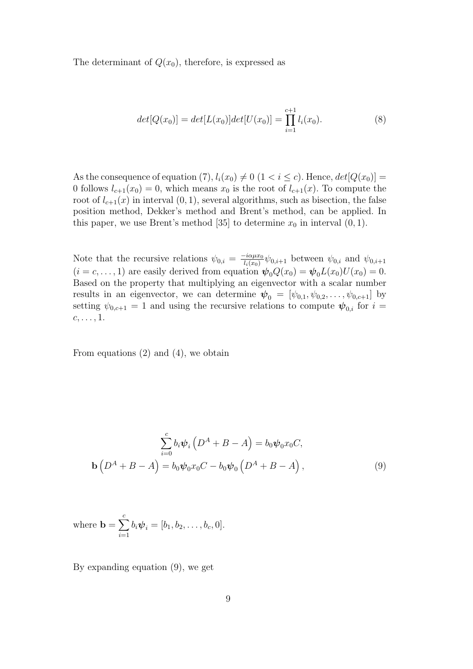The determinant of  $Q(x_0)$ , therefore, is expressed as

$$
det[Q(x_0)] = det[L(x_0)]det[U(x_0)] = \prod_{i=1}^{c+1} l_i(x_0).
$$
 (8)

As the consequence of equation (7),  $l_i(x_0) \neq 0$  (1 < i  $\leq c$ ). Hence,  $det[Q(x_0)] =$ 0 follows  $l_{c+1}(x_0) = 0$ , which means  $x_0$  is the root of  $l_{c+1}(x)$ . To compute the root of  $l_{c+1}(x)$  in interval  $(0, 1)$ , several algorithms, such as bisection, the false position method, Dekker's method and Brent's method, can be applied. In this paper, we use Brent's method [35] to determine  $x_0$  in interval  $(0, 1)$ .

Note that the recursive relations  $\psi_{0,i} = \frac{-i\alpha\mu x_0}{l_i(x_0)}$  $\frac{\partial^2 u}{\partial u^i(x_0)} \psi_{0,i+1}$  between  $\psi_{0,i}$  and  $\psi_{0,i+1}$  $(i = c, \ldots, 1)$  are easily derived from equation  $\psi_0 Q(x_0) = \psi_0 L(x_0) U(x_0) = 0$ . Based on the property that multiplying an eigenvector with a scalar number results in an eigenvector, we can determine  $\psi_0 = [\psi_{0,1}, \psi_{0,2}, \dots, \psi_{0,c+1}]$  by setting  $\psi_{0,c+1} = 1$  and using the recursive relations to compute  $\psi_{0,i}$  for  $i =$  $c, \ldots, 1$ .

From equations  $(2)$  and  $(4)$ , we obtain

$$
\sum_{i=0}^{c} b_i \psi_i \left( D^A + B - A \right) = b_0 \psi_0 x_0 C,
$$
  
**b** $\left( D^A + B - A \right) = b_0 \psi_0 x_0 C - b_0 \psi_0 \left( D^A + B - A \right),$  (9)

where 
$$
\mathbf{b} = \sum_{i=1}^{c} b_i \psi_i = [b_1, b_2, \dots, b_c, 0].
$$

By expanding equation (9), we get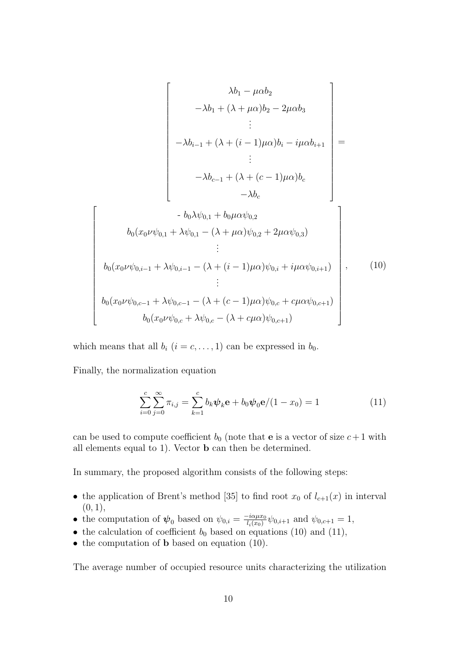$$
\begin{bmatrix}\n\lambda b_1 - \mu \alpha b_2 \\
-\lambda b_1 + (\lambda + \mu \alpha) b_2 - 2\mu \alpha b_3 \\
\vdots \\
-\lambda b_{i-1} + (\lambda + (i - 1)\mu \alpha) b_i - i\mu \alpha b_{i+1} \\
\vdots \\
-\lambda b_{c-1} + (\lambda + (c - 1)\mu \alpha) b_c \\
-\lambda b_c\n\end{bmatrix} = \begin{bmatrix}\n-b_0 \lambda \psi_{0,1} + b_0 \mu \alpha \psi_{0,2} \\
-b_0 \lambda \psi_{0,1} + b_0 \mu \alpha \psi_{0,2} \\
\vdots \\
b_0 (x_0 \nu \psi_{0,1} + \lambda \psi_{0,1} - (\lambda + \mu \alpha) \psi_{0,2} + 2\mu \alpha \psi_{0,3}) \\
\vdots \\
b_0 (x_0 \nu \psi_{0,i-1} + \lambda \psi_{0,i-1} - (\lambda + (i - 1)\mu \alpha) \psi_{0,i} + i\mu \alpha \psi_{0,i+1}) \\
\vdots \\
b_0 (x_0 \nu \psi_{0,c-1} + \lambda \psi_{0,c-1} - (\lambda + (c - 1)\mu \alpha) \psi_{0,c} + c\mu \alpha \psi_{0,c+1})\n\end{bmatrix},
$$
\n(10)

which means that all  $b_i$   $(i = c, \ldots, 1)$  can be expressed in  $b_0$ .

Finally, the normalization equation

$$
\sum_{i=0}^{c} \sum_{j=0}^{\infty} \pi_{i,j} = \sum_{k=1}^{c} b_k \psi_k \mathbf{e} + b_0 \psi_0 \mathbf{e} / (1 - x_0) = 1 \tag{11}
$$

can be used to compute coefficient  $b_0$  (note that **e** is a vector of size  $c+1$  with all elements equal to 1). Vector b can then be determined.

In summary, the proposed algorithm consists of the following steps:

- the application of Brent's method [35] to find root  $x_0$  of  $l_{c+1}(x)$  in interval  $(0, 1),$
- the computation of  $\psi_0$  based on  $\psi_{0,i} = \frac{-i\alpha\mu x_0}{l_i(x_0)}$  $\frac{d_{i}(x_0)}{d_{i}(x_0)}\psi_{0,i+1}$  and  $\psi_{0,c+1}=1$ ,
- the calculation of coefficient  $b_0$  based on equations (10) and (11),
- the computation of **b** based on equation (10).

The average number of occupied resource units characterizing the utilization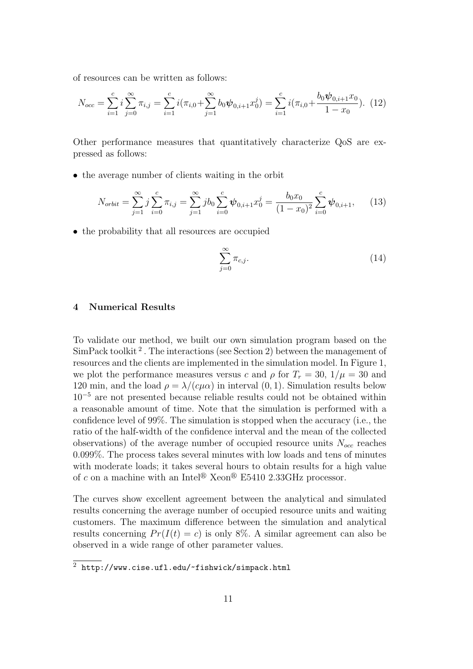of resources can be written as follows:

$$
N_{occ} = \sum_{i=1}^{c} i \sum_{j=0}^{\infty} \pi_{i,j} = \sum_{i=1}^{c} i (\pi_{i,0} + \sum_{j=1}^{\infty} b_0 \psi_{0,i+1} x_0^j) = \sum_{i=1}^{c} i (\pi_{i,0} + \frac{b_0 \psi_{0,i+1} x_0}{1 - x_0}). \tag{12}
$$

Other performance measures that quantitatively characterize QoS are expressed as follows:

• the average number of clients waiting in the orbit

$$
N_{orbit} = \sum_{j=1}^{\infty} j \sum_{i=0}^{c} \pi_{i,j} = \sum_{j=1}^{\infty} j b_0 \sum_{i=0}^{c} \psi_{0,i+1} x_0^j = \frac{b_0 x_0}{(1 - x_0)^2} \sum_{i=0}^{c} \psi_{0,i+1}, \qquad (13)
$$

• the probability that all resources are occupied

$$
\sum_{j=0}^{\infty} \pi_{c,j}.\tag{14}
$$

#### 4 Numerical Results

To validate our method, we built our own simulation program based on the  $SimPack$  toolkit<sup>2</sup>. The interactions (see Section 2) between the management of resources and the clients are implemented in the simulation model. In Figure 1, we plot the performance measures versus c and  $\rho$  for  $T_r = 30$ ,  $1/\mu = 30$  and 120 min, and the load  $\rho = \lambda/(c\mu\alpha)$  in interval (0, 1). Simulation results below 10<sup>−</sup><sup>5</sup> are not presented because reliable results could not be obtained within a reasonable amount of time. Note that the simulation is performed with a confidence level of 99%. The simulation is stopped when the accuracy (i.e., the ratio of the half-width of the confidence interval and the mean of the collected observations) of the average number of occupied resource units  $N_{occ}$  reaches 0.099%. The process takes several minutes with low loads and tens of minutes with moderate loads; it takes several hours to obtain results for a high value of c on a machine with an Intel<sup>®</sup> Xeon<sup>®</sup> E5410 2.33GHz processor.

The curves show excellent agreement between the analytical and simulated results concerning the average number of occupied resource units and waiting customers. The maximum difference between the simulation and analytical results concerning  $Pr(I(t) = c)$  is only 8%. A similar agreement can also be observed in a wide range of other parameter values.

 $\overline{2 \text{ http://www.cise.util.edu/~fishwick/simpack.html}}$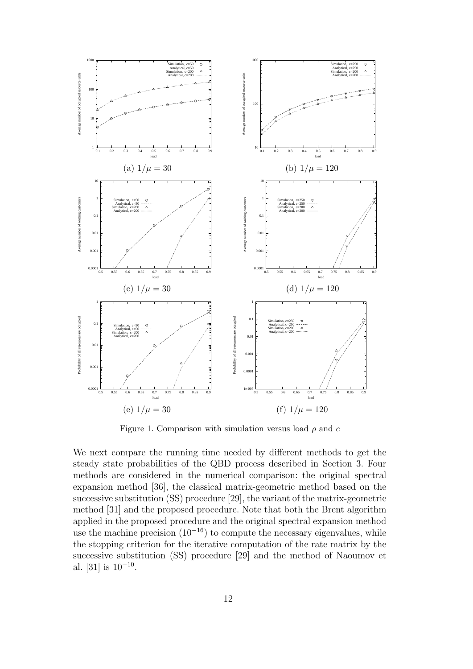

Figure 1. Comparison with simulation versus load  $\rho$  and  $c$ 

We next compare the running time needed by different methods to get the steady state probabilities of the QBD process described in Section 3. Four methods are considered in the numerical comparison: the original spectral expansion method [36], the classical matrix-geometric method based on the successive substitution (SS) procedure [29], the variant of the matrix-geometric method [31] and the proposed procedure. Note that both the Brent algorithm applied in the proposed procedure and the original spectral expansion method use the machine precision  $(10^{-16})$  to compute the necessary eigenvalues, while the stopping criterion for the iterative computation of the rate matrix by the successive substitution (SS) procedure [29] and the method of Naoumov et al. [31] is  $10^{-10}$ .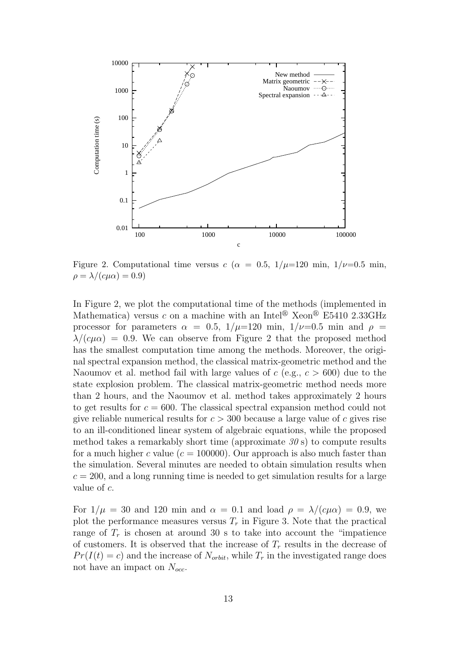

Figure 2. Computational time versus  $c(\alpha = 0.5, 1/\mu=120 \text{ min}, 1/\nu=0.5 \text{ min},$  $\rho = \lambda/(c\mu\alpha) = 0.9$ 

In Figure 2, we plot the computational time of the methods (implemented in Mathematica) versus c on a machine with an Intel<sup>®</sup> Xeon<sup>®</sup> E5410 2.33GHz processor for parameters  $\alpha = 0.5$ ,  $1/\mu = 120$  min,  $1/\nu = 0.5$  min and  $\rho =$  $\lambda/(c\mu\alpha) = 0.9$ . We can observe from Figure 2 that the proposed method has the smallest computation time among the methods. Moreover, the original spectral expansion method, the classical matrix-geometric method and the Naoumov et al. method fail with large values of  $c$  (e.g.,  $c > 600$ ) due to the state explosion problem. The classical matrix-geometric method needs more than 2 hours, and the Naoumov et al. method takes approximately 2 hours to get results for  $c = 600$ . The classical spectral expansion method could not give reliable numerical results for  $c > 300$  because a large value of c gives rise to an ill-conditioned linear system of algebraic equations, while the proposed method takes a remarkably short time (approximate  $30 \text{ s}$ ) to compute results for a much higher c value ( $c = 100000$ ). Our approach is also much faster than the simulation. Several minutes are needed to obtain simulation results when  $c = 200$ , and a long running time is needed to get simulation results for a large value of c.

For  $1/\mu = 30$  and 120 min and  $\alpha = 0.1$  and load  $\rho = \lambda/(c\mu\alpha) = 0.9$ , we plot the performance measures versus  $T_r$  in Figure 3. Note that the practical range of  $T_r$  is chosen at around 30 s to take into account the "impatience" of customers. It is observed that the increase of  $T_r$  results in the decrease of  $Pr(I(t) = c)$  and the increase of  $N_{orbit}$ , while  $T_r$  in the investigated range does not have an impact on  $N_{occ}$ .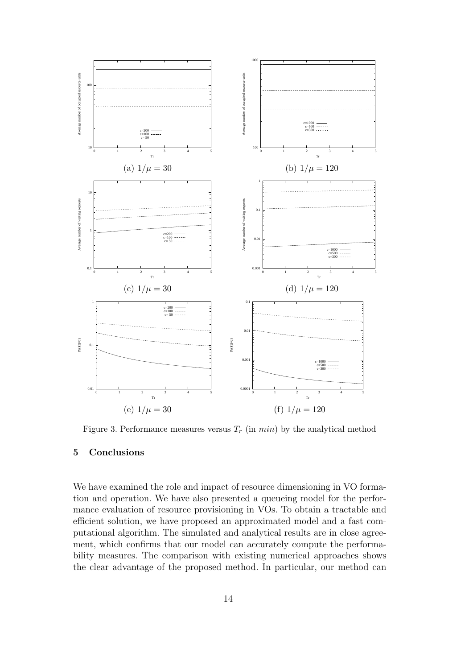

Figure 3. Performance measures versus  $T_r$  (in  $min$ ) by the analytical method

## 5 Conclusions

We have examined the role and impact of resource dimensioning in VO formation and operation. We have also presented a queueing model for the performance evaluation of resource provisioning in VOs. To obtain a tractable and efficient solution, we have proposed an approximated model and a fast computational algorithm. The simulated and analytical results are in close agreement, which confirms that our model can accurately compute the performability measures. The comparison with existing numerical approaches shows the clear advantage of the proposed method. In particular, our method can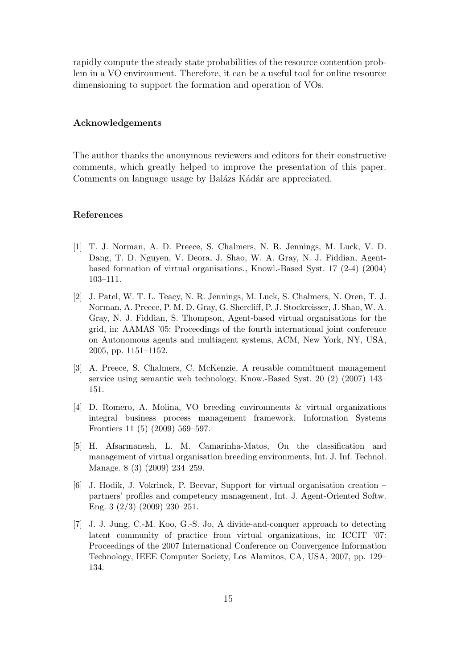rapidly compute the steady state probabilities of the resource contention problem in a VO environment. Therefore, it can be a useful tool for online resource dimensioning to support the formation and operation of VOs.

#### Acknowledgements

The author thanks the anonymous reviewers and editors for their constructive comments, which greatly helped to improve the presentation of this paper. Comments on language usage by Balázs Kádár are appreciated.

# References

- [1] T. J. Norman, A. D. Preece, S. Chalmers, N. R. Jennings, M. Luck, V. D. Dang, T. D. Nguyen, V. Deora, J. Shao, W. A. Gray, N. J. Fiddian, Agentbased formation of virtual organisations., Knowl.-Based Syst. 17 (2-4) (2004) 103–111.
- [2] J. Patel, W. T. L. Teacy, N. R. Jennings, M. Luck, S. Chalmers, N. Oren, T. J. Norman, A. Preece, P. M. D. Gray, G. Shercliff, P. J. Stockreisser, J. Shao, W. A. Gray, N. J. Fiddian, S. Thompson, Agent-based virtual organisations for the grid, in: AAMAS '05: Proceedings of the fourth international joint conference on Autonomous agents and multiagent systems, ACM, New York, NY, USA, 2005, pp. 1151–1152.
- [3] A. Preece, S. Chalmers, C. McKenzie, A reusable commitment management service using semantic web technology, Know.-Based Syst. 20 (2) (2007) 143– 151.
- [4] D. Romero, A. Molina, VO breeding environments & virtual organizations integral business process management framework, Information Systems Frontiers 11 (5) (2009) 569–597.
- [5] H. Afsarmanesh, L. M. Camarinha-Matos, On the classification and management of virtual organisation breeding environments, Int. J. Inf. Technol. Manage. 8 (3) (2009) 234–259.
- [6] J. Hodik, J. Vokrinek, P. Becvar, Support for virtual organisation creation partners' profiles and competency management, Int. J. Agent-Oriented Softw. Eng. 3 (2/3) (2009) 230–251.
- [7] J. J. Jung, C.-M. Koo, G.-S. Jo, A divide-and-conquer approach to detecting latent community of practice from virtual organizations, in: ICCIT '07: Proceedings of the 2007 International Conference on Convergence Information Technology, IEEE Computer Society, Los Alamitos, CA, USA, 2007, pp. 129– 134.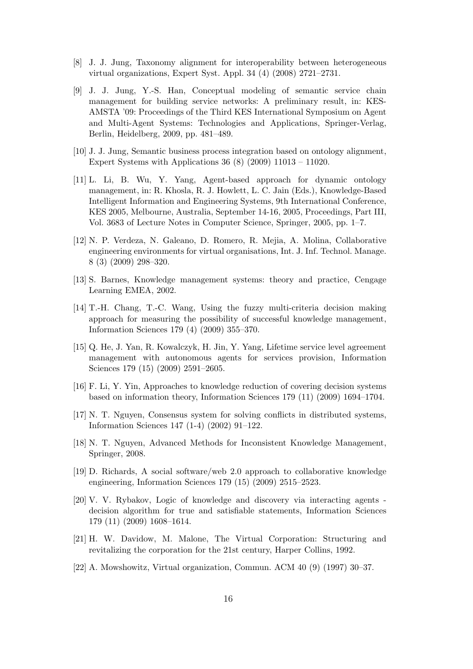- [8] J. J. Jung, Taxonomy alignment for interoperability between heterogeneous virtual organizations, Expert Syst. Appl. 34 (4) (2008) 2721–2731.
- [9] J. J. Jung, Y.-S. Han, Conceptual modeling of semantic service chain management for building service networks: A preliminary result, in: KES-AMSTA '09: Proceedings of the Third KES International Symposium on Agent and Multi-Agent Systems: Technologies and Applications, Springer-Verlag, Berlin, Heidelberg, 2009, pp. 481–489.
- [10] J. J. Jung, Semantic business process integration based on ontology alignment, Expert Systems with Applications 36 (8) (2009) 11013 – 11020.
- [11] L. Li, B. Wu, Y. Yang, Agent-based approach for dynamic ontology management, in: R. Khosla, R. J. Howlett, L. C. Jain (Eds.), Knowledge-Based Intelligent Information and Engineering Systems, 9th International Conference, KES 2005, Melbourne, Australia, September 14-16, 2005, Proceedings, Part III, Vol. 3683 of Lecture Notes in Computer Science, Springer, 2005, pp. 1–7.
- [12] N. P. Verdeza, N. Galeano, D. Romero, R. Mejia, A. Molina, Collaborative engineering environments for virtual organisations, Int. J. Inf. Technol. Manage. 8 (3) (2009) 298–320.
- [13] S. Barnes, Knowledge management systems: theory and practice, Cengage Learning EMEA, 2002.
- [14] T.-H. Chang, T.-C. Wang, Using the fuzzy multi-criteria decision making approach for measuring the possibility of successful knowledge management, Information Sciences 179 (4) (2009) 355–370.
- [15] Q. He, J. Yan, R. Kowalczyk, H. Jin, Y. Yang, Lifetime service level agreement management with autonomous agents for services provision, Information Sciences 179 (15) (2009) 2591–2605.
- [16] F. Li, Y. Yin, Approaches to knowledge reduction of covering decision systems based on information theory, Information Sciences 179 (11) (2009) 1694–1704.
- [17] N. T. Nguyen, Consensus system for solving conflicts in distributed systems, Information Sciences 147 (1-4) (2002) 91–122.
- [18] N. T. Nguyen, Advanced Methods for Inconsistent Knowledge Management, Springer, 2008.
- [19] D. Richards, A social software/web 2.0 approach to collaborative knowledge engineering, Information Sciences 179 (15) (2009) 2515–2523.
- [20] V. V. Rybakov, Logic of knowledge and discovery via interacting agents decision algorithm for true and satisfiable statements, Information Sciences 179 (11) (2009) 1608–1614.
- [21] H. W. Davidow, M. Malone, The Virtual Corporation: Structuring and revitalizing the corporation for the 21st century, Harper Collins, 1992.
- [22] A. Mowshowitz, Virtual organization, Commun. ACM 40 (9) (1997) 30–37.